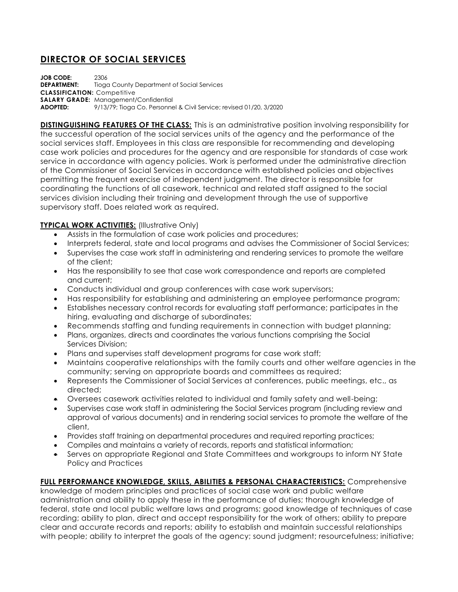## **DIRECTOR OF SOCIAL SERVICES**

**JOB CODE:** 2306 **DEPARTMENT:** Tioga County Department of Social Services **CLASSIFICATION:** Competitive **SALARY GRADE:** Management/Confidential **ADOPTED:** 9/13/79; Tioga Co. Personnel & Civil Service; revised 01/20, 3/2020

**DISTINGUISHING FEATURES OF THE CLASS:** This is an administrative position involving responsibility for the successful operation of the social services units of the agency and the performance of the social services staff. Employees in this class are responsible for recommending and developing case work policies and procedures for the agency and are responsible for standards of case work service in accordance with agency policies. Work is performed under the administrative direction of the Commissioner of Social Services in accordance with established policies and objectives permitting the frequent exercise of independent judgment. The director is responsible for coordinating the functions of all casework, technical and related staff assigned to the social services division including their training and development through the use of supportive supervisory staff. Does related work as required.

## **TYPICAL WORK ACTIVITIES:** (Illustrative Only)

- Assists in the formulation of case work policies and procedures;
- Interprets federal, state and local programs and advises the Commissioner of Social Services;
- Supervises the case work staff in administering and rendering services to promote the welfare of the client;
- Has the responsibility to see that case work correspondence and reports are completed and current;
- Conducts individual and group conferences with case work supervisors;
- Has responsibility for establishing and administering an employee performance program;
- Establishes necessary control records for evaluating staff performance; participates in the hiring, evaluating and discharge of subordinates;
- Recommends staffing and funding requirements in connection with budget planning;
- Plans, organizes, directs and coordinates the various functions comprising the Social Services Division;
- Plans and supervises staff development programs for case work staff;
- Maintains cooperative relationships with the family courts and other welfare agencies in the community; serving on appropriate boards and committees as required;
- Represents the Commissioner of Social Services at conferences, public meetings, etc., as directed;
- Oversees casework activities related to individual and family safety and well-being;
- Supervises case work staff in administering the Social Services program (including review and approval of various documents) and in rendering social services to promote the welfare of the client,
- Provides staff training on departmental procedures and required reporting practices;
- Compiles and maintains a variety of records, reports and statistical information;
- Serves on appropriate Regional and State Committees and workgroups to inform NY State Policy and Practices

## **FULL PERFORMANCE KNOWLEDGE, SKILLS, ABILITIES & PERSONAL CHARACTERISTICS:** Comprehensive

knowledge of modern principles and practices of social case work and public welfare administration and ability to apply these in the performance of duties; thorough knowledge of federal, state and local public welfare laws and programs; good knowledge of techniques of case recording; ability to plan, direct and accept responsibility for the work of others; ability to prepare clear and accurate records and reports; ability to establish and maintain successful relationships with people; ability to interpret the goals of the agency; sound judgment; resourcefulness; initiative;